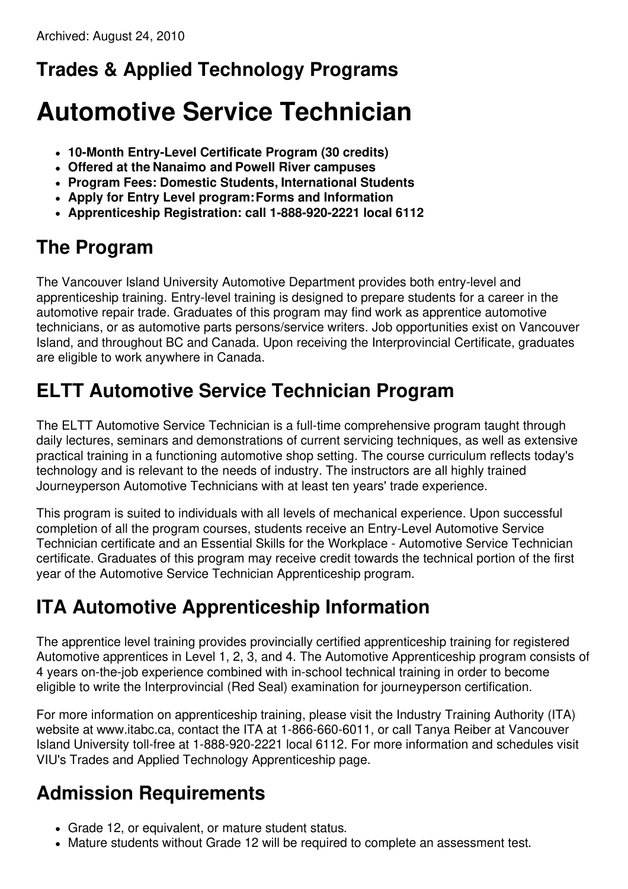#### **Trades & Applied Technology Programs**

# **Automotive Service Technician**

- **10-Month Entry-Level Certificate Program (30 credits)**
- **Offered at the Nanaimo and Powell River campuses**
- **Program Fees: Domestic Students, International Students**
- **Apply for Entry Level program:Forms and Information**
- **Apprenticeship Registration: call 1-888-920-2221 local 6112**

### **The Program**

The Vancouver Island University Automotive Department provides both entry-level and apprenticeship training. Entry-level training is designed to prepare students for a career in the automotive repair trade. Graduates of this program may find work as apprentice automotive technicians, or as automotive parts persons/service writers. Job opportunities exist on Vancouver Island, and throughout BC and Canada. Upon receiving the Interprovincial Certificate, graduates are eligible to work anywhere in Canada.

## **ELTT Automotive Service Technician Program**

The ELTT Automotive Service Technician is a full-time comprehensive program taught through daily lectures, seminars and demonstrations of current servicing techniques, as well as extensive practical training in a functioning automotive shop setting. The course curriculum reflects today's technology and is relevant to the needs of industry. The instructors are all highly trained Journeyperson Automotive Technicians with at least ten years' trade experience.

This program is suited to individuals with all levels of mechanical experience. Upon successful completion of all the program courses, students receive an Entry-Level Automotive Service Technician certificate and an Essential Skills for the Workplace - Automotive Service Technician certificate. Graduates of this program may receive credit towards the technical portion of the first year of the Automotive Service Technician Apprenticeship program.

# **ITA Automotive Apprenticeship Information**

The apprentice level training provides provincially certified apprenticeship training for registered Automotive apprentices in Level 1, 2, 3, and 4. The Automotive Apprenticeship program consists of 4 years on-the-job experience combined with in-school technical training in order to become eligible to write the Interprovincial (Red Seal) examination for journeyperson certification.

For more information on apprenticeship training, please visit the Industry Training Authority (ITA) website at www.itabc.ca, contact the ITA at 1-866-660-6011, or call Tanya Reiber at Vancouver Island University toll-free at 1-888-920-2221 local 6112. For more information and schedules visit VIU's Trades and Applied Technology Apprenticeship page.

# **Admission Requirements**

- Grade 12, or equivalent, or mature student status.
- Mature students without Grade 12 will be required to complete an assessment test.